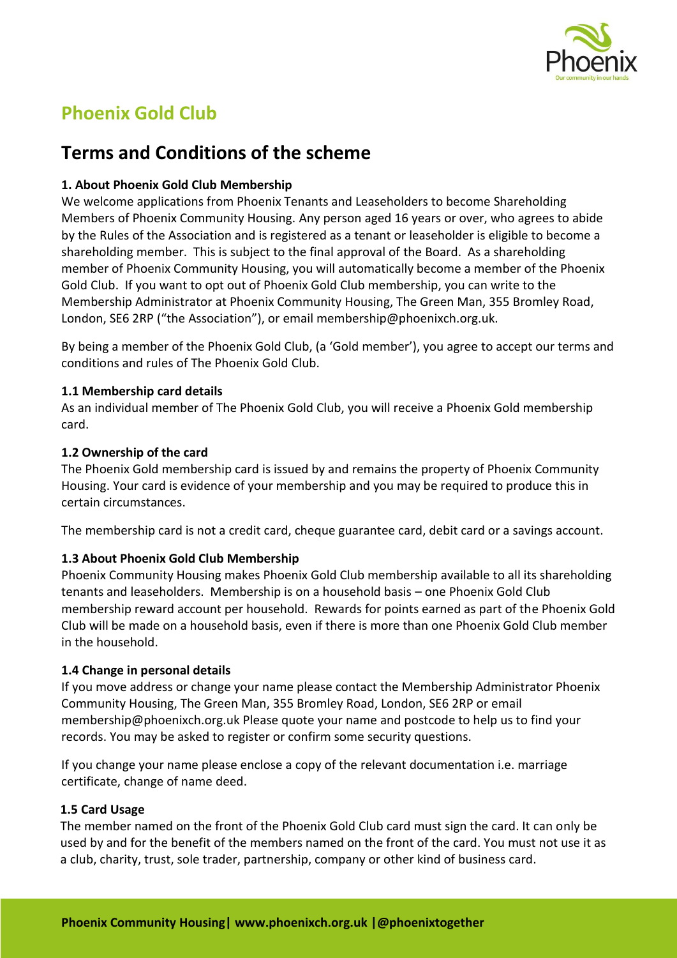

# **Phoenix Gold Club**

## **Terms and Conditions of the scheme**

## **1. About Phoenix Gold Club Membership**

We welcome applications from Phoenix Tenants and Leaseholders to become Shareholding Members of Phoenix Community Housing. Any person aged 16 years or over, who agrees to abide by the Rules of the Association and is registered as a tenant or leaseholder is eligible to become a shareholding member. This is subject to the final approval of the Board. As a shareholding member of Phoenix Community Housing, you will automatically become a member of the Phoenix Gold Club. If you want to opt out of Phoenix Gold Club membership, you can write to the Membership Administrator at Phoenix Community Housing, The Green Man, 355 Bromley Road, London, SE6 2RP ("the Association"), or email membership@phoenixch.org.uk.

By being a member of the Phoenix Gold Club, (a 'Gold member'), you agree to accept our terms and conditions and rules of The Phoenix Gold Club.

## **1.1 Membership card details**

As an individual member of The Phoenix Gold Club, you will receive a Phoenix Gold membership card.

## **1.2 Ownership of the card**

The Phoenix Gold membership card is issued by and remains the property of Phoenix Community Housing. Your card is evidence of your membership and you may be required to produce this in certain circumstances.

The membership card is not a credit card, cheque guarantee card, debit card or a savings account.

## **1.3 About Phoenix Gold Club Membership**

Phoenix Community Housing makes Phoenix Gold Club membership available to all its shareholding tenants and leaseholders. Membership is on a household basis – one Phoenix Gold Club membership reward account per household. Rewards for points earned as part of the Phoenix Gold Club will be made on a household basis, even if there is more than one Phoenix Gold Club member in the household.

#### **1.4 Change in personal details**

If you move address or change your name please contact the Membership Administrator Phoenix Community Housing, The Green Man, 355 Bromley Road, London, SE6 2RP or email membership@phoenixch.org.uk Please quote your name and postcode to help us to find your records. You may be asked to register or confirm some security questions.

If you change your name please enclose a copy of the relevant documentation i.e. marriage certificate, change of name deed.

## **1.5 Card Usage**

The member named on the front of the Phoenix Gold Club card must sign the card. It can only be used by and for the benefit of the members named on the front of the card. You must not use it as a club, charity, trust, sole trader, partnership, company or other kind of business card.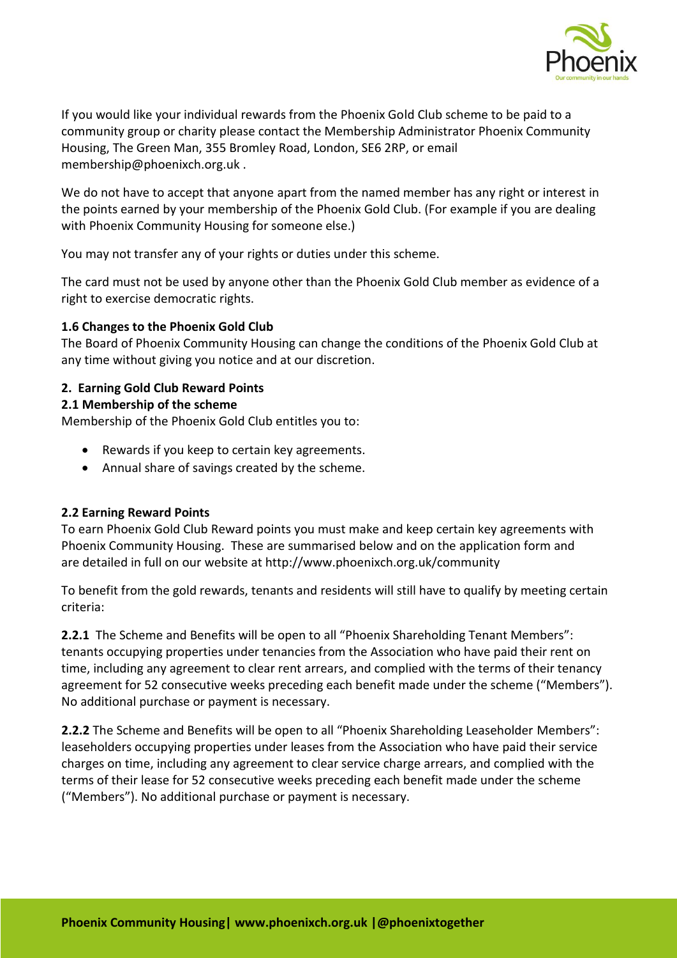

If you would like your individual rewards from the Phoenix Gold Club scheme to be paid to a community group or charity please contact the Membership Administrator Phoenix Community Housing, The Green Man, 355 Bromley Road, London, SE6 2RP, or email membership@phoenixch.org.uk .

We do not have to accept that anyone apart from the named member has any right or interest in the points earned by your membership of the Phoenix Gold Club. (For example if you are dealing with Phoenix Community Housing for someone else.)

You may not transfer any of your rights or duties under this scheme.

The card must not be used by anyone other than the Phoenix Gold Club member as evidence of a right to exercise democratic rights.

## **1.6 Changes to the Phoenix Gold Club**

The Board of Phoenix Community Housing can change the conditions of the Phoenix Gold Club at any time without giving you notice and at our discretion.

## **2. Earning Gold Club Reward Points**

## **2.1 Membership of the scheme**

Membership of the Phoenix Gold Club entitles you to:

- Rewards if you keep to certain key agreements.
- Annual share of savings created by the scheme.

#### **2.2 Earning Reward Points**

To earn Phoenix Gold Club Reward points you must make and keep certain key agreements with Phoenix Community Housing. These are summarised below and on the application form and are detailed in full on our website at http://www.phoenixch.org.uk/community

To benefit from the gold rewards, tenants and residents will still have to qualify by meeting certain criteria:

**2.2.1** The Scheme and Benefits will be open to all "Phoenix Shareholding Tenant Members": tenants occupying properties under tenancies from the Association who have paid their rent on time, including any agreement to clear rent arrears, and complied with the terms of their tenancy agreement for 52 consecutive weeks preceding each benefit made under the scheme ("Members"). No additional purchase or payment is necessary.

**2.2.2** The Scheme and Benefits will be open to all "Phoenix Shareholding Leaseholder Members": leaseholders occupying properties under leases from the Association who have paid their service charges on time, including any agreement to clear service charge arrears, and complied with the terms of their lease for 52 consecutive weeks preceding each benefit made under the scheme ("Members"). No additional purchase or payment is necessary.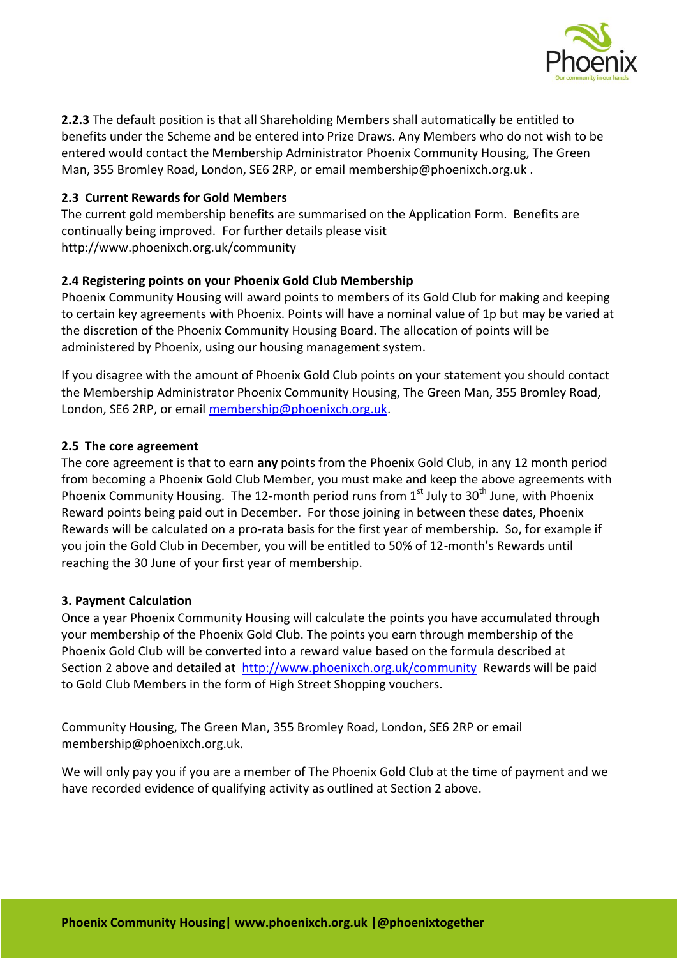

**2.2.3** The default position is that all Shareholding Members shall automatically be entitled to benefits under the Scheme and be entered into Prize Draws. Any Members who do not wish to be entered would contact the Membership Administrator Phoenix Community Housing, The Green Man, 355 Bromley Road, London, SE6 2RP, or email membership@phoenixch.org.uk .

## **2.3 Current Rewards for Gold Members**

The current gold membership benefits are summarised on the Application Form. Benefits are continually being improved. For further details please visit http://www.phoenixch.org.uk/community

## **2.4 Registering points on your Phoenix Gold Club Membership**

Phoenix Community Housing will award points to members of its Gold Club for making and keeping to certain key agreements with Phoenix. Points will have a nominal value of 1p but may be varied at the discretion of the Phoenix Community Housing Board. The allocation of points will be administered by Phoenix, using our housing management system.

If you disagree with the amount of Phoenix Gold Club points on your statement you should contact the Membership Administrator Phoenix Community Housing, The Green Man, 355 Bromley Road, London, SE6 2RP, or email membership@phoenixch.org.uk.

#### **2.5 The core agreement**

The core agreement is that to earn **any** points from the Phoenix Gold Club, in any 12 month period from becoming a Phoenix Gold Club Member, you must make and keep the above agreements with Phoenix Community Housing. The 12-month period runs from  $1<sup>st</sup>$  July to 30<sup>th</sup> June, with Phoenix Reward points being paid out in December. For those joining in between these dates, Phoenix Rewards will be calculated on a pro-rata basis for the first year of membership. So, for example if you join the Gold Club in [December, you will be entitled to 5](mailto:membership@phoenixch.org.uk)0% of 12-month's Rewards until reaching the 30 June of your first year of membership.

#### **3. Payment Calculation**

Once a year Phoenix Community Housing will calculate the points you have accumulated through your membership of the Phoenix Gold Club. The points you earn through membership of the Phoenix Gold Club will be converted into a reward value based on the formula described at Section 2 above and detailed at http://www.phoenixch.org.uk/community Rewards will be paid to Gold Club Members in the form of High Street Shopping vouchers.

Community Housing, The Green Man, 355 Bromley Road, London, SE6 2RP or email membership@phoenixch.org.uk.

We will only pay you if [you are a member of The Phoenix Gold Club at the time of paym](http://www.phoenixch.org.uk/membership)ent and we have recorded evidence of qualifying activity as outlined at Section 2 above.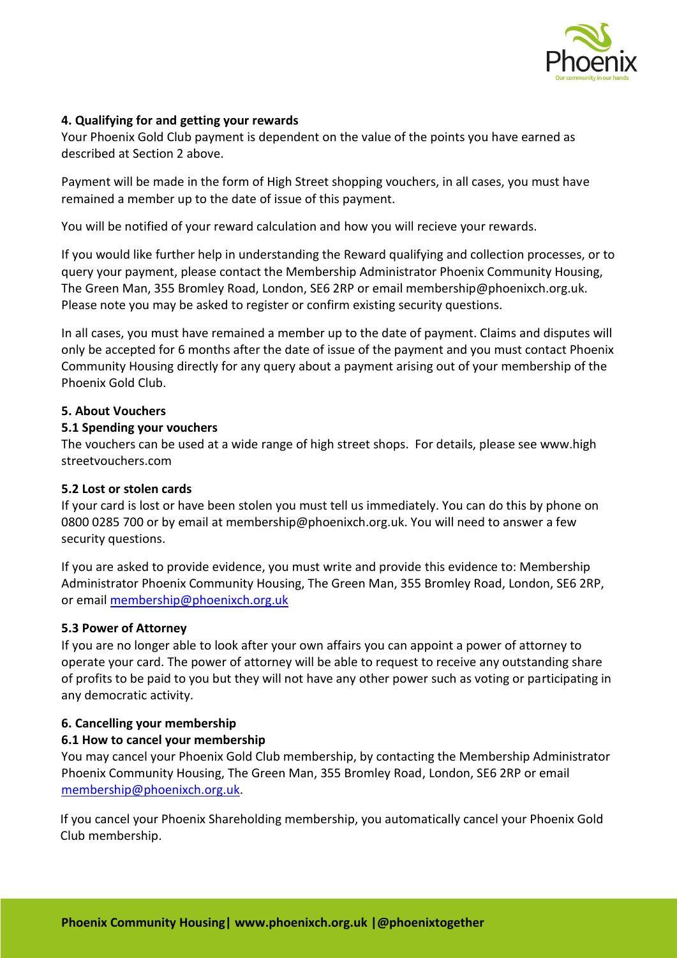

## **4. Qualifying for and getting your rewards**

Your Phoenix Gold Club payment is dependent on the value of the points you have earned as described at Section 2 above.

Payment will be made in the form of High Street shopping vouchers, in all cases, you must have remained a member up to the date of issue of this payment.

You will be notified of your reward calculation and how you will recieve your rewards.

If you would like further help in understanding the Reward qualifying and collection processes, or to query your payment, please contact the Membership Administrator Phoenix Community Housing, The Green Man, 355 Bromley Road, London, SE6 2RP or email membership@phoenixch.org.uk. Please note you may be asked to register or confirm existing security questions.

In all cases, you must have remained a member up to the date of payment. Claims and disputes will only be accepted for 6 months after the date of issue of the payment and you must contact Phoenix Community Housing directly for any query about a payment arising out of your membership of the Phoenix Gold Club.

#### **5. About Vouchers**

#### **5.1 Spending your vouchers**

The vouchers can be used at a wide range of high street shops. For details, please see www.high streetvouchers.com

#### **5.2 Lost or stolen cards**

If your card is lost or have been stolen you must tell us immediately. You can do this by phone on 0800 0285 700 or by email at membership@phoenixch.org.uk. You will need to answer a few security questions.

If you are asked to provide evidence, you must write and provide this evidence to: Membership Administrator Phoenix Community Housing, The Green Man, 355 Bromley Road, London, SE6 2RP, or email membership@phoenixch.org.uk

#### **5.3 Power of Attorney**

If you are no longer able to look after your own affairs you can appoint a power of attorney to operate your card. The power of attorney will be able to request to receive any outstanding share of profit[s to be paid to you but they will n](mailto:membership@phoenixch.org.uk)ot have any other power such as voting or participating in any democratic activity.

#### **6. Cancelling your membership**

#### **6.1 How to cancel your membership**

You may cancel your Phoenix Gold Club membership, by contacting the Membership Administrator Phoenix Community Housing, The Green Man, 355 Bromley Road, London, SE6 2RP or email membership@phoenixch.org.uk.

If you cancel your Phoenix Shareholding membership, you automatically cancel your Phoenix Gold Club membership.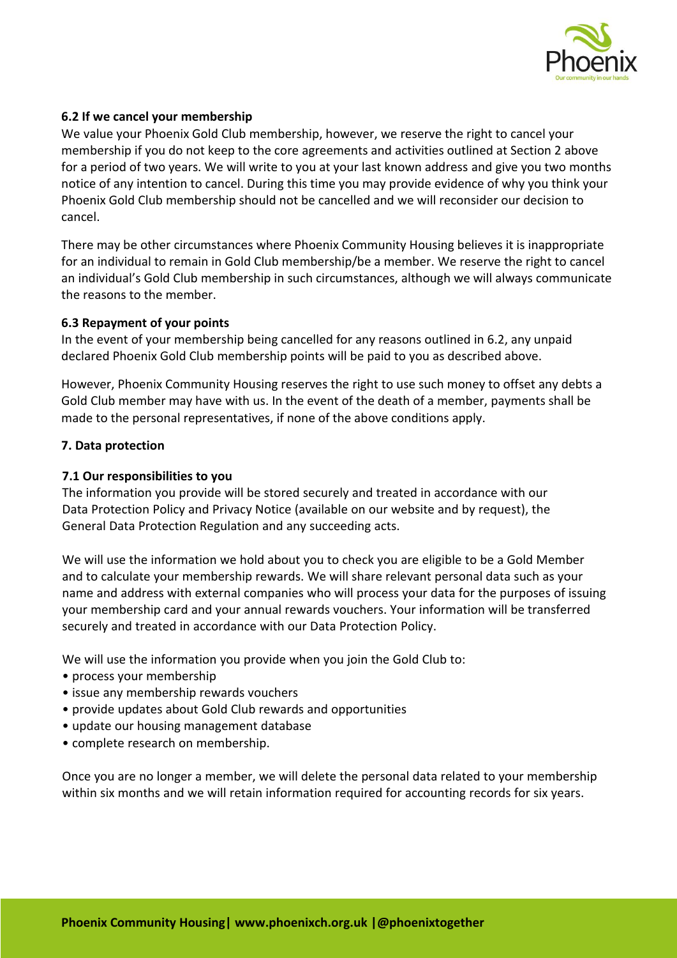

## **6.2 If we cancel your membership**

We value your Phoenix Gold Club membership, however, we reserve the right to cancel your membership if you do not keep to the core agreements and activities outlined at Section 2 above for a period of two years. We will write to you at your last known address and give you two months notice of any intention to cancel. During this time you may provide evidence of why you think your Phoenix Gold Club membership should not be cancelled and we will reconsider our decision to cancel.

There may be other circumstances where Phoenix Community Housing believes it is inappropriate for an individual to remain in Gold Club membership/be a member. We reserve the right to cancel an individual's Gold Club membership in such circumstances, although we will always communicate the reasons to the member.

#### **6.3 Repayment of your points**

In the event of your membership being cancelled for any reasons outlined in 6.2, any unpaid declared Phoenix Gold Club membership points will be paid to you as described above.

However, Phoenix Community Housing reserves the right to use such money to offset any debts a Gold Club member may have with us. In the event of the death of a member, payments shall be made to the personal representatives, if none of the above conditions apply.

#### **7. Data protection**

#### **7.1 Our responsibilities to you**

The information you provide will be stored securely and treated in accordance with our Data Protection Policy and Privacy Notice (available on our website and by request), the General Data Protection Regulation and any succeeding acts.

We will use the information we hold about you to check you are eligible to be a Gold Member and to calculate your membership rewards. We will share relevant personal data such as your name and address with external companies who will process your data for the purposes of issuing your membership card and your annual rewards vouchers. Your information will be transferred securely and treated in accordance with our Data Protection Policy.

We will use the information you provide when you join the Gold Club to:

- process your membership
- issue any membership rewards vouchers
- provide updates about Gold Club rewards and opportunities
- updat[e our housing management datab](mailto:membership@phoenixch.org.uk)ase
- complete research on membership.

Once you are no longer a member, we will delete the personal data related to your membership within six months and we will retain information required for accounting records for six years.